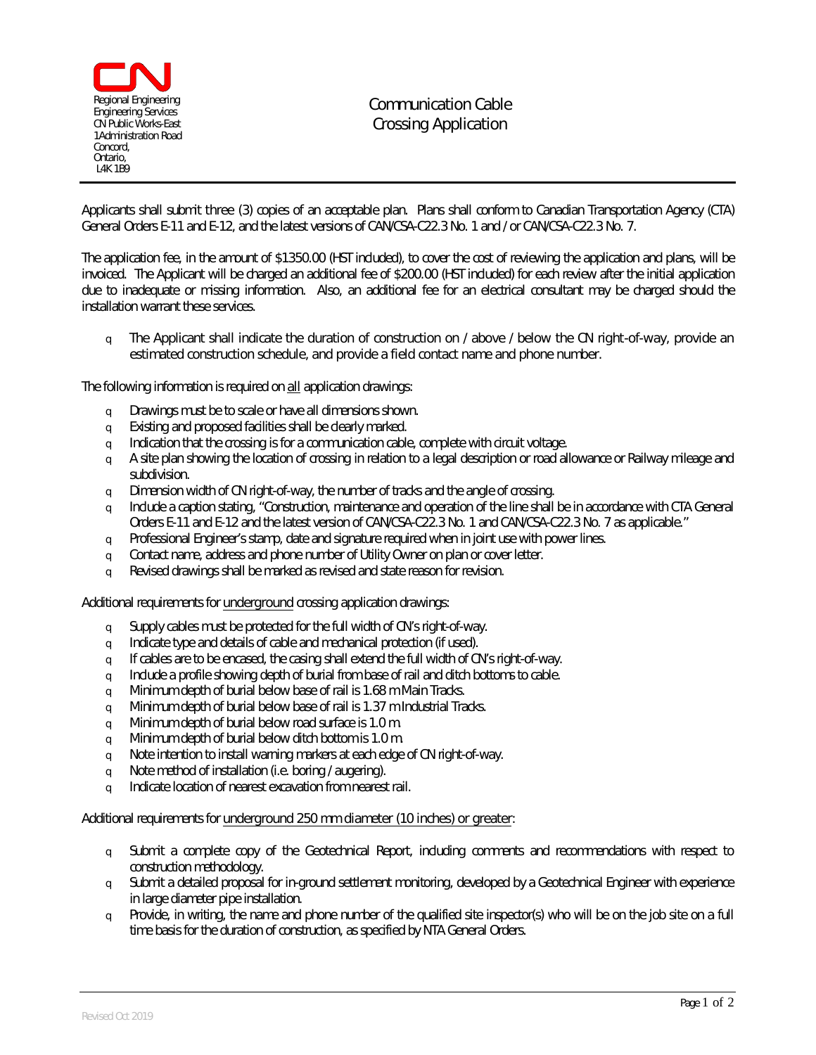

**Communication Cable Crossing Application**

Applicants shall submit **three (3**) copies of an acceptable plan. Plans shall conform to Canadian Transportation Agency (CTA) General Orders E-11 and E-12, and the latest versions of CAN/CSA-C22.3 No. 1 and / or CAN/CSA-C22.3 No. 7.

The application fee, in the amount of **\$1350.00** (HST included), to cover the cost of reviewing the application and plans, will be invoiced. The Applicant will be charged an additional fee of **\$200.00** (HST included) for each review after the initial application due to inadequate or missing information. Also, an additional fee for an electrical consultant may be charged should the installation warrant these services.

 $\sigma$  The Applicant shall indicate the duration of construction on / above / below the CN right-of-way, provide an **estimated construction schedule, and provide a field contact name and phone number.**

The following information is required on **all** application drawings:

- q Drawings must be to scale or have all dimensions shown.
- q Existing and proposed facilities shall be clearly marked.
- $\circ$  Indication that the crossing is for a communication cable, complete with circuit voltage.
- $\Box$  A site plan showing the location of crossing in relation to a legal description or road allowance or Railway mileage and subdivision.
- q Dimension width of CN right-of-way, the number of tracks and the angle of crossing.
- $q$  Include a caption stating, "Construction, maintenance and operation of the line shall be in accordance with CTA General Orders E-11 and E-12 and the latest version of CAN/CSA-C22.3 No. 1 and CAN/CSA-C22.3 No. 7 as applicable."
- $q$  Professional Engineer's stamp, date and signature required when in joint use with power lines.
- q Contact name, address and phone number of Utility Owner on plan or cover letter.
- q Revised drawings shall be marked as revised and state reason for revision.

Additional requirements for **underground** crossing application drawings:

- q Supply cables must be protected for the full width of CN's right-of-way.
- q Indicate type and details of cable and mechanical protection (if used).
- $q$  If cables are to be encased, the casing shall extend the full width of CN's right-of-way.
- q Include a profile showing depth of burial from base of rail and ditch bottoms to cable.
- $q$  Minimum depth of burial below base of rail is 1.68 m Main Tracks.
- $q$  Minimum depth of burial below base of rail is 1.37 m Industrial Tracks.
- q Minimum depth of burial below road surface is 1.0 m.
- q Minimum depth of burial below ditch bottom is 1.0 m.
- q Note intention to install warning markers at each edge of CN right-of-way.
- q Note method of installation (i.e. boring / augering).
- q Indicate location of nearest excavation from nearest rail.

Additional requirements for **underground 250 mm diameter (10 inches) or greater**:

- $q$  Submit a complete copy of the Geotechnical Report, including comments and recommendations with respect to construction methodology.
- $\Box$  Submit a detailed proposal for in-ground settlement monitoring, developed by a Geotechnical Engineer with experience in large diameter pipe installation.
- $q$  Provide, in writing, the name and phone number of the qualified site inspector(s) who will be on the job site on a full time basis for the duration of construction, as specified by NTA General Orders.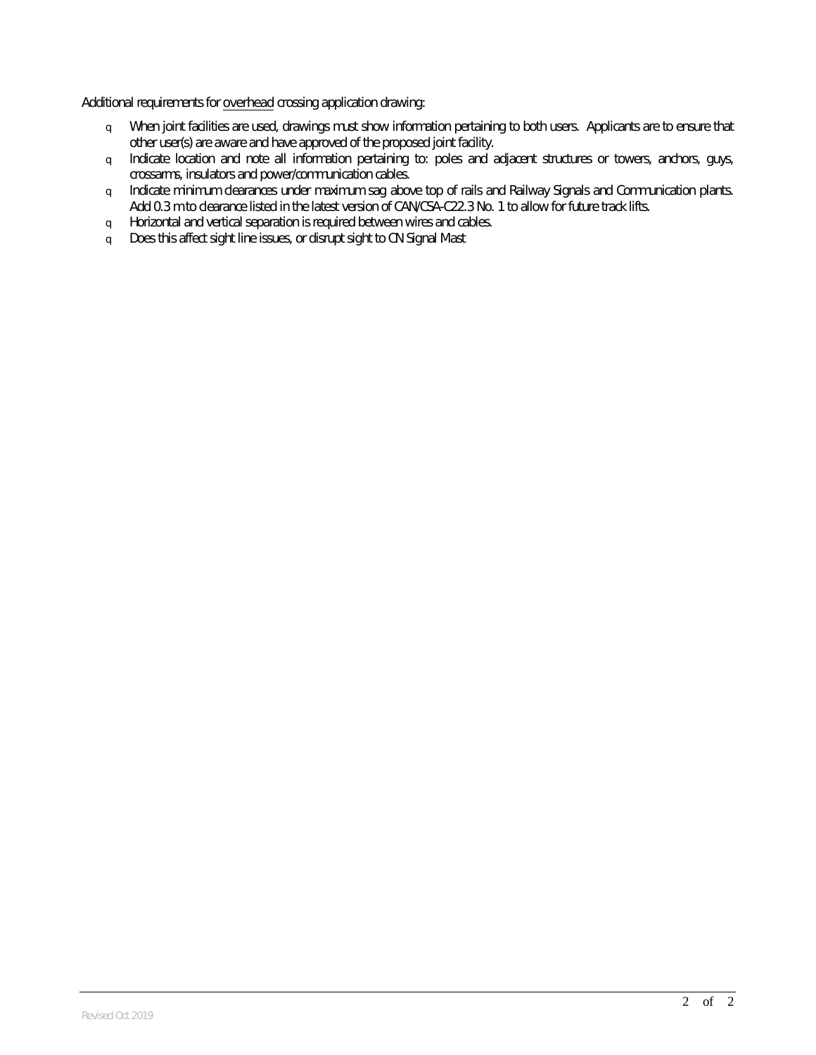Additional requirements for **overhead** crossing application drawing:

- q When joint facilities are used, drawings must show information pertaining to both users. Applicants are to ensure that other user(s) are aware and have approved of the proposed joint facility.
- q Indicate location and note all information pertaining to: poles and adjacent structures or towers, anchors, guys, crossarms, insulators and power/communication cables.
- q Indicate minimum clearances under maximum sag above top of rails and Railway Signals and Communication plants. Add 0.3 m to clearance listed in the latest version of CAN/CSA-C22.3 No. 1 to allow for future track lifts.
- q Horizontal and vertical separation is required between wires and cables.
- q Does this affect sight line issues, or disrupt sight to CN Signal Mast